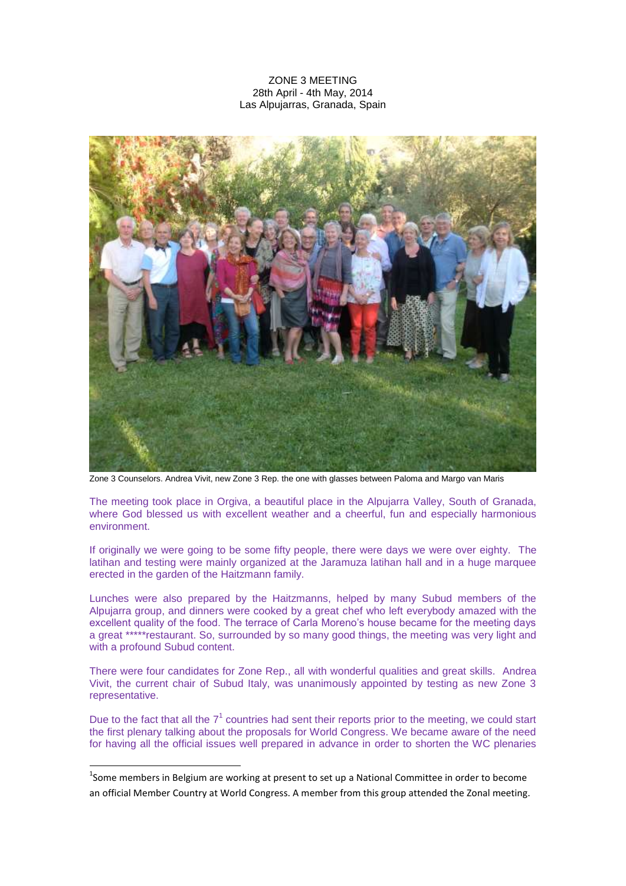## ZONE 3 MEETING 28th April - 4th May, 2014 Las Alpujarras, Granada, Spain



Zone 3 Counselors. Andrea Vivit, new Zone 3 Rep. the one with glasses between Paloma and Margo van Maris

The meeting took place in Orgiva, a beautiful place in the Alpujarra Valley, South of Granada, where God blessed us with excellent weather and a cheerful, fun and especially harmonious environment.

If originally we were going to be some fifty people, there were days we were over eighty. The latihan and testing were mainly organized at the Jaramuza latihan hall and in a huge marquee erected in the garden of the Haitzmann family.

Lunches were also prepared by the Haitzmanns, helped by many Subud members of the Alpujarra group, and dinners were cooked by a great chef who left everybody amazed with the excellent quality of the food. The terrace of Carla Moreno's house became for the meeting days a great \*\*\*\*\*restaurant. So, surrounded by so many good things, the meeting was very light and with a profound Subud content.

There were four candidates for Zone Rep., all with wonderful qualities and great skills. Andrea Vivit, the current chair of Subud Italy, was unanimously appointed by testing as new Zone 3 representative.

Due to the fact that all the  $7<sup>1</sup>$  countries had sent their reports prior to the meeting, we could start the first plenary talking about the proposals for World Congress. We became aware of the need for having all the official issues well prepared in advance in order to shorten the WC plenaries

**.** 

<sup>&</sup>lt;sup>1</sup>Some members in Belgium are working at present to set up a National Committee in order to become an official Member Country at World Congress. A member from this group attended the Zonal meeting.